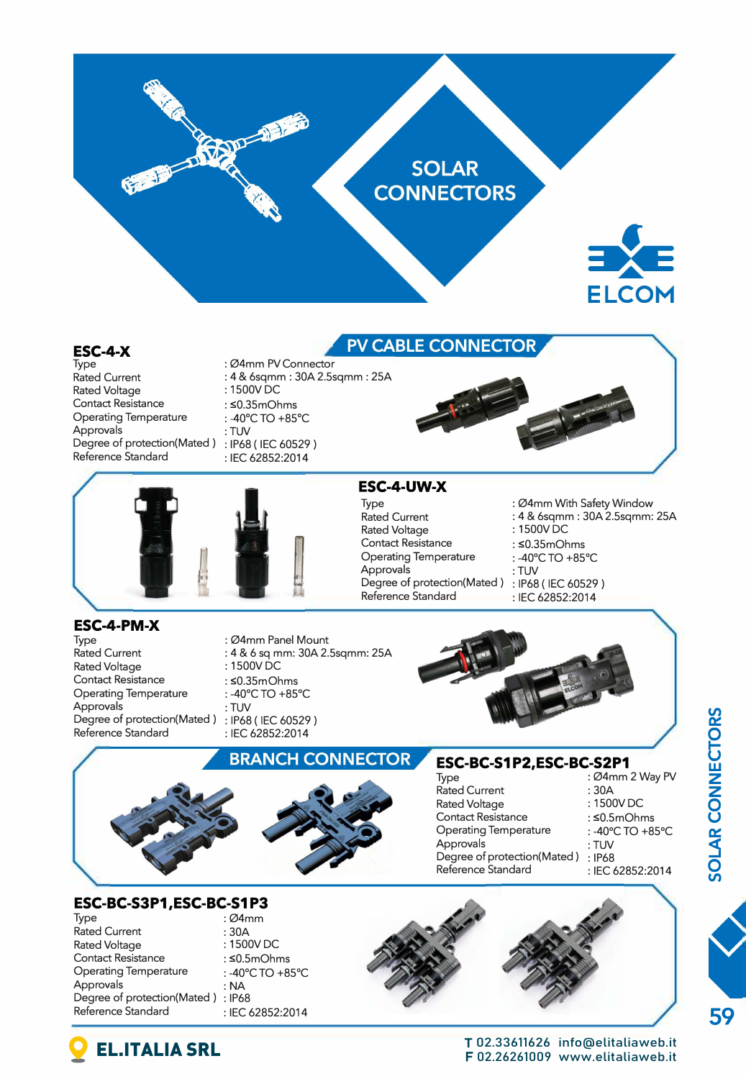

Rated Voltage **Contact Resistance**  Operating Temperature Approvals Degree of protection(Mated ) : IP68 ( IEC 60529 ) Reference Standard

 $: 1500V$ DC : S0.35m0hms : -40°C TO +85°C :TUV : IEC 62852:2014



: 1500VDC : S0.35m0hms : -40'C TO +85'C :TUV

: IEC 62852:2014

: 04mm With 5afety Window : 4 & 6sqmm : 30A 2.Ssqmm: 25A



## **ESC-4-PM-X**

Type Rated Current Rated Voltage **Contact Resistance Operating Temperature**  Approvals Degree of protection(Mated ) Reference Standard

: 04mm Panel Mount : 4 & 6 sq mm: 30A 2.Ssqmm: 25A

 $: 1500V\overline{DC}$ 

**BRANCH CONNECTOR** 

- : s0.35mOhms
- : -40'C TO +85'C
- :TUV
- : IP68 ( IEC 60529 )
- : IEC 62852:2014



**ESC-BC-51 P2,ESC-BC-S2P1** 

Degree of protection(Mated ) : IP68 ( IEC 60529 )

Type : 04mm 2 Way PV<br>Rated Current : 30A **DIVECTORS SOLAR CO** 



**ESC-4-UW-X**  Type Rated Current Rated Voltage **Contact Resistance Operating Temperature**  Approvals

Reference Standard

## **ESC-BC-S3P1,ESC-BC-S1P3**<br>*D4mm* :

Rated Current : 30A<br>Rated Voltage : 1500V DC Rated Voltage Contact Resistance : ≤0.5mOhms<br>Operating Temperature : -40°C TO +85°C Operating Temperature : -40'<br>Approvals : NA Approvals Degree of protection(Mated) : IP68<br>Reference Standard FFC

- : Ø4mm<br>: 30A
- : IEC 62852:2014



EL.ITALIA SRL TO2.33611626 info@elitaliaweb.it F 02.26261009 www.elitaliaweb.it **59**